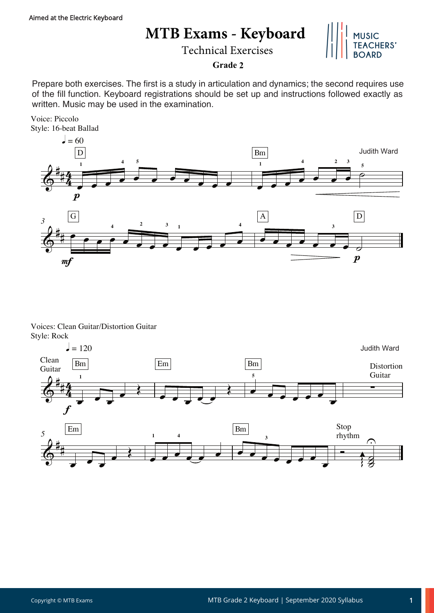## **MTB Exams - Keyboard**

Technical Exercises



## **Grade 2**

Prepare both exercises. The first is a study in articulation and dynamics; the second requires use of the fill function. Keyboard registrations should be set up and instructions followed exactly as written. Music may be used in the examination.

Voice: Piccolo Style: 16-beat Ballad



Voices: Clean Guitar/Distortion Guitar Style: Rock